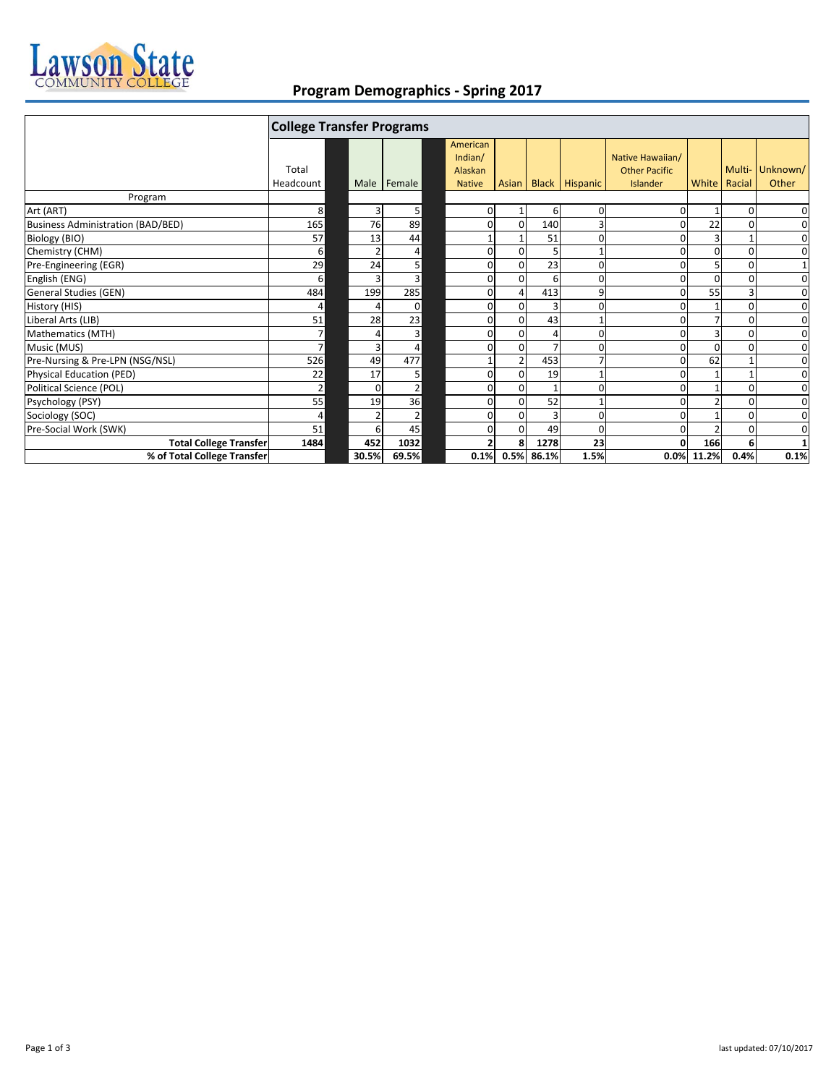

## **Program Demographics ‐ Spring 2017**

|                                          | <b>College Transfer Programs</b> |          |                |                                                 |                |                |                |                       |                                                      |                |          |                   |
|------------------------------------------|----------------------------------|----------|----------------|-------------------------------------------------|----------------|----------------|----------------|-----------------------|------------------------------------------------------|----------------|----------|-------------------|
|                                          | Total<br>Headcount               |          | Male Female    | American<br>Indian/<br>Alaskan<br><b>Native</b> |                | Asian I        |                | <b>Black Hispanic</b> | Native Hawaiian/<br><b>Other Pacific</b><br>Islander | White   Racial | Multi-   | Unknown/<br>Other |
| Program                                  |                                  |          |                |                                                 |                |                |                |                       |                                                      |                |          |                   |
| Art (ART)                                | 8                                | 3        | 5              |                                                 | 0              | 1              | 6              | 0                     |                                                      |                | $\Omega$ | 0                 |
| <b>Business Administration (BAD/BED)</b> | 165                              | 76       | 89             |                                                 | 0              | $\Omega$       | 140            |                       |                                                      | 22             |          | $\mathbf 0$       |
| Biology (BIO)                            | 57                               | 13       | 44             |                                                 |                |                | 51             | O                     |                                                      | з              |          | 0                 |
| Chemistry (CHM)                          | $6 \overline{6}$                 |          | 4              |                                                 | 0              | $\Omega$       | 5              |                       |                                                      | O              | $\Omega$ | $\mathbf 0$       |
| Pre-Engineering (EGR)                    | 29                               | 24       | 5 <sup>1</sup> |                                                 | $\mathbf{0}$   | $\Omega$       | 23             | 0                     |                                                      |                | 0        | $1\,$             |
| English (ENG)                            | $6 \overline{6}$                 |          | 3              |                                                 | 0              | $\overline{0}$ | 6              | 0                     |                                                      | 0              | $\Omega$ | $\mathbf 0$       |
| General Studies (GEN)                    | 484                              | 199      | 285            |                                                 | 0              | 4              | 413            | 9                     |                                                      | 55             |          | $\mathbf 0$       |
| History (HIS)                            | 4                                |          | $\Omega$       |                                                 | $\overline{0}$ | $\Omega$       | $\overline{3}$ | 0                     |                                                      |                | O        | $\mathbf 0$       |
| Liberal Arts (LIB)                       | 51                               | 28       | 23             |                                                 | $\Omega$       | $\Omega$       | 43             |                       |                                                      |                | $\Omega$ | $\mathbf 0$       |
| Mathematics (MTH)                        | 7 <sup>1</sup>                   |          | 3              |                                                 | 0              | 0              |                | ŋ                     |                                                      |                |          | $\mathbf 0$       |
| Music (MUS)                              | 7 <sup>1</sup>                   |          | 4              |                                                 | 0              | $\Omega$       |                |                       |                                                      | O              |          | $\mathbf 0$       |
| Pre-Nursing & Pre-LPN (NSG/NSL)          | 526                              | 49       | 477            |                                                 |                | $\overline{2}$ | 453            |                       |                                                      | 62             |          | $\mathbf 0$       |
| <b>Physical Education (PED)</b>          | 22                               | 17       | 5              |                                                 | 0              | $\Omega$       | 19             |                       |                                                      |                |          | $\mathbf 0$       |
| Political Science (POL)                  | $\overline{2}$                   | $\Omega$ | $\overline{2}$ |                                                 | $\Omega$       | $\Omega$       | $\mathbf{1}$   | ŋ                     |                                                      |                | $\Omega$ | 0                 |
| Psychology (PSY)                         | 55                               | 19       | 36             |                                                 | 0              | $\Omega$       | 52             |                       |                                                      |                | 0        | $\mathbf 0$       |
| Sociology (SOC)                          | 4                                |          | $\overline{2}$ |                                                 | $\mathbf 0$    | $\Omega$       | $\overline{3}$ | 0                     |                                                      |                |          | 0                 |
| Pre-Social Work (SWK)                    | 51                               | 6        | 45             |                                                 | $\mathbf{0}$   | $\Omega$       | 49             | 0                     |                                                      |                | 0        | $\mathbf 0$       |
| <b>Total College Transfer</b>            | 1484                             | 452      | 1032           |                                                 |                | 8              | 1278           | 23                    |                                                      | 166            |          |                   |
| % of Total College Transfer              |                                  | 30.5%    | 69.5%          |                                                 | 0.1%           |                | 0.5% 86.1%     | 1.5%                  | 0.0%                                                 | 11.2%          | 0.4%     | 0.1%              |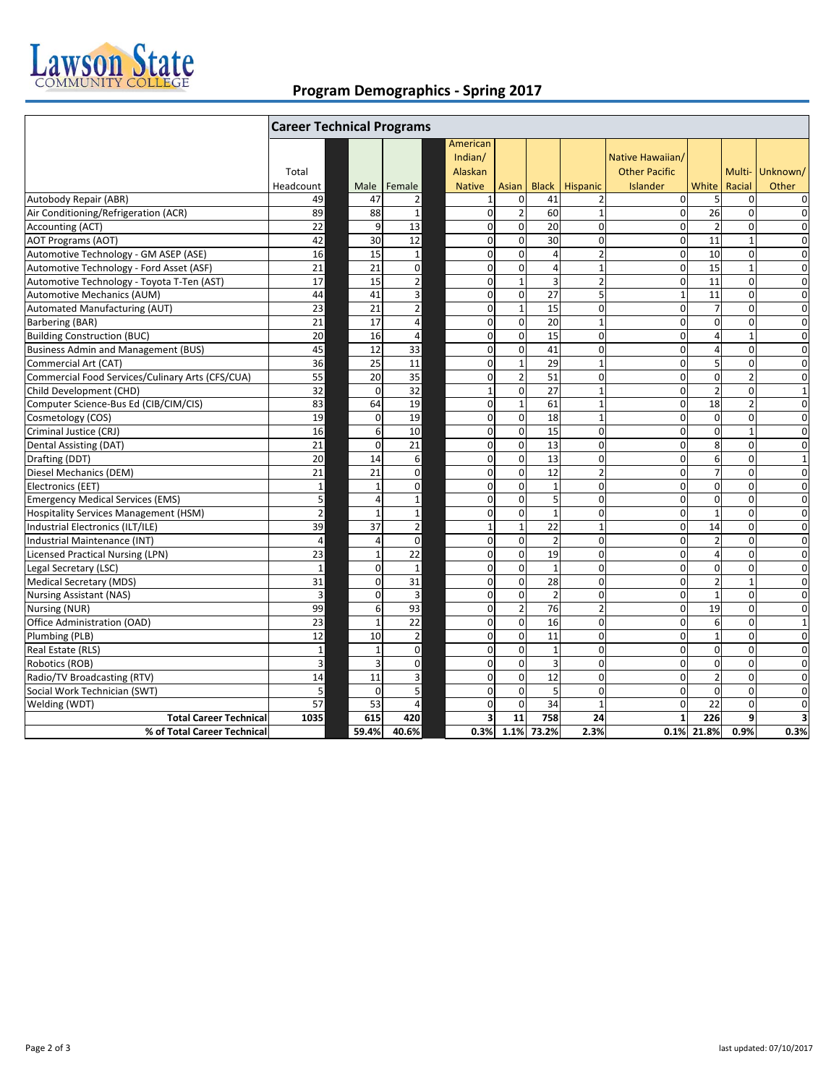

## **Program Demographics ‐ Spring 2017**

|                                                  | <b>Career Technical Programs</b> |                |                         |                         |                  |                         |                         |                      |                 |                |                |
|--------------------------------------------------|----------------------------------|----------------|-------------------------|-------------------------|------------------|-------------------------|-------------------------|----------------------|-----------------|----------------|----------------|
|                                                  |                                  |                |                         | American                |                  |                         |                         |                      |                 |                |                |
|                                                  |                                  |                |                         | Indian/                 |                  |                         |                         | Native Hawaiian/     |                 |                |                |
|                                                  | Total                            |                |                         | Alaskan                 |                  |                         |                         | <b>Other Pacific</b> |                 |                | Multi-Unknown/ |
|                                                  | Headcount                        | Male           | Female                  | <b>Native</b>           | Asian            | <b>Black</b>            | Hispanic                | Islander             | White           | Racial         | Other          |
| Autobody Repair (ABR)                            | 49                               | 47             | $\overline{2}$          | $\mathbf{1}$            | $\mathbf 0$      | 41                      | $\overline{2}$          | $\overline{0}$       | 5               | $\mathbf{0}$   | $\mathbf 0$    |
| Air Conditioning/Refrigeration (ACR)             | 89                               | 88             | $\mathbf{1}$            | $\mathbf 0$             | $\overline{2}$   | 60                      | $\mathbf{1}$            | $\Omega$             | $\overline{26}$ | $\Omega$       | $\mathbf 0$    |
| Accounting (ACT)                                 | 22                               | 9              | 13                      | $\mathbf 0$             | $\mathbf 0$      | 20                      | $\mathbf 0$             | $\overline{0}$       | $\overline{2}$  | 0              | $\mathbf 0$    |
| <b>AOT Programs (AOT)</b>                        | 42                               | 30             | 12                      | $\mathbf 0$             | $\mathbf 0$      | 30                      | $\mathbf 0$             | $\overline{0}$       | 11              | $1\,$          | $\mathbf 0$    |
| Automotive Technology - GM ASEP (ASE)            | 16                               | 15             | $\mathbf 1$             | $\mathbf 0$             | $\mathbf 0$      | $\Delta$                | $\overline{2}$          | $\overline{0}$       | 10              | $\mathbf 0$    | $\mathbf 0$    |
| Automotive Technology - Ford Asset (ASF)         | 21                               | 21             | $\mathbf 0$             | $\mathbf 0$             | $\mathbf 0$      | $\overline{4}$          | $\mathbf{1}$            | $\Omega$             | 15              | $\mathbf 1$    | $\mathbf 0$    |
| Automotive Technology - Toyota T-Ten (AST)       | $\overline{17}$                  | 15             | $\overline{\mathbf{c}}$ | $\mathbf 0$             | $\mathbf 1$      | $\overline{\mathbf{3}}$ | $\overline{\mathbf{c}}$ | $\mathbf{0}$         | 11              | $\pmb{0}$      | $\mathbf 0$    |
| Automotive Mechanics (AUM)                       | 44                               | 41             | 3                       | $\mathbf 0$             | $\mathbf 0$      | 27                      | 5                       | $1\overline{ }$      | 11              | $\Omega$       | $\mathbf 0$    |
| Automated Manufacturing (AUT)                    | 23                               | 21             | $\overline{2}$          | $\mathbf 0$             | $\mathbf 1$      | $\overline{15}$         | $\mathbf 0$             | $\Omega$             | $\overline{7}$  | $\pmb{0}$      | $\mathbf 0$    |
| Barbering (BAR)                                  | 21                               | 17             | $\overline{4}$          | $\mathbf 0$             | $\mathbf 0$      | 20                      | $\mathbf{1}$            | $\overline{0}$       | $\mathbf 0$     | $\mathbf 0$    | $\mathbf 0$    |
| <b>Building Construction (BUC)</b>               | $\overline{20}$                  | 16             | $\overline{4}$          | $\mathbf 0$             | $\mathbf 0$      | 15                      | $\mathbf 0$             | $\Omega$             | $\overline{4}$  | $\mathbf{1}$   | $\mathbf 0$    |
| <b>Business Admin and Management (BUS)</b>       | 45                               | 12             | 33                      | $\mathbf 0$             | $\mathbf 0$      | 41                      | $\mathbf 0$             | $\overline{0}$       | $\overline{4}$  | $\mathbf 0$    | $\mathbf 0$    |
| Commercial Art (CAT)                             | $\overline{36}$                  | 25             | $\overline{11}$         | $\mathbf 0$             | $\mathbf{1}$     | 29                      | $\mathbf{1}$            | $\Omega$             | 5               | $\Omega$       | $\mathbf 0$    |
| Commercial Food Services/Culinary Arts (CFS/CUA) | 55                               | 20             | 35                      | $\mathbf 0$             | $\overline{2}$   | 51                      | $\mathbf 0$             | $\overline{0}$       | $\mathbf 0$     | $\overline{2}$ | $\mathbf 0$    |
| Child Development (CHD)                          | 32                               | $\Omega$       | $\overline{32}$         | $\mathbf{1}$            | $\mathbf 0$      | $\overline{27}$         | $\mathbf{1}$            | $\Omega$             | $\overline{2}$  | $\mathbf 0$    | $\mathbf{1}$   |
| Computer Science-Bus Ed (CIB/CIM/CIS)            | 83                               | 64             | 19                      | $\pmb{0}$               | $\mathbf{1}$     | 61                      | $\mathbf{1}$            | $\Omega$             | 18              | $\overline{2}$ | $\mathbf 0$    |
| Cosmetology (COS)                                | 19                               | $\Omega$       | 19                      | $\mathbf 0$             | $\mathbf 0$      | 18                      | $\mathbf{1}$            | $\Omega$             | $\mathbf 0$     | $\mathbf 0$    | $\mathbf 0$    |
| Criminal Justice (CRJ)                           | 16                               | 6              | 10                      | $\mathbf 0$             | $\mathbf 0$      | $\overline{15}$         | $\mathbf 0$             | $\mathbf{0}$         | $\mathbf 0$     | $\mathbf{1}$   | $\mathbf 0$    |
| Dental Assisting (DAT)                           | 21                               | $\Omega$       | 21                      | $\mathbf 0$             | $\mathbf 0$      | 13                      | $\Omega$                | $\Omega$             | 8               | $\Omega$       | $\Omega$       |
| Drafting (DDT)                                   | 20                               | 14             | 6                       | $\mathbf 0$             | $\mathbf 0$      | 13                      | 0                       | $\overline{0}$       | 6               | $\mathbf 0$    | $\mathbf{1}$   |
| Diesel Mechanics (DEM)                           | 21                               | 21             | $\mathbf 0$             | $\Omega$                | $\Omega$         | 12                      | $\overline{2}$          | $\Omega$             | $\overline{7}$  | $\Omega$       | $\Omega$       |
| Electronics (EET)                                | $\mathbf 1$                      | $\overline{1}$ | 0                       | $\mathbf 0$             | $\boldsymbol{0}$ | $\mathbf{1}$            | $\mathbf 0$             | $\overline{0}$       | $\mathbf 0$     | $\mathbf 0$    | $\mathbf 0$    |
| <b>Emergency Medical Services (EMS)</b>          | $\sf 5$                          | $\overline{a}$ | $\mathbf 1$             | $\mathbf 0$             | $\mathbf 0$      | 5                       | $\mathbf 0$             | $\Omega$             | $\mathbf 0$     | $\Omega$       | $\mathbf 0$    |
| <b>Hospitality Services Management (HSM)</b>     | $\overline{2}$                   | $\overline{1}$ | $\mathbf 1$             | $\mathbf 0$             | $\mathbf 0$      | $\mathbf{1}$            | $\mathbf 0$             | $\overline{0}$       | $\mathbf{1}$    | $\mathbf 0$    | $\mathbf 0$    |
| Industrial Electronics (ILT/ILE)                 | 39                               | 37             | $\overline{2}$          | $\mathbf{1}$            | $\mathbf{1}$     | 22                      | $\mathbf{1}$            | $\Omega$             | 14              | $\mathbf 0$    | $\Omega$       |
| Industrial Maintenance (INT)                     | $\overline{4}$                   | $\overline{a}$ | $\mathbf 0$             | $\mathbf 0$             | $\mathbf 0$      | $\overline{2}$          | $\mathbf 0$             | $\overline{0}$       | $\overline{2}$  | $\mathbf 0$    | $\mathbf 0$    |
| <b>Licensed Practical Nursing (LPN)</b>          | 23                               | $\overline{1}$ | 22                      | $\mathbf 0$             | $\mathbf 0$      | 19                      | $\mathbf 0$             | $\Omega$             | $\overline{4}$  | $\Omega$       | $\mathbf 0$    |
| Legal Secretary (LSC)                            | $\mathbf{1}$                     | $\mathbf 0$    | $\mathbf{1}$            | $\mathbf 0$             | $\mathbf 0$      | $\mathbf{1}$            | $\mathbf 0$             | $\mathbf{0}$         | $\mathbf 0$     | $\mathbf 0$    | $\mathbf 0$    |
| Medical Secretary (MDS)                          | $\overline{31}$                  | $\Omega$       | 31                      | $\mathbf 0$             | $\mathbf 0$      | 28                      | $\mathbf 0$             | $\Omega$             | $\overline{2}$  | $\mathbf{1}$   | $\mathbf 0$    |
| <b>Nursing Assistant (NAS)</b>                   | $\mathsf 3$                      | $\mathbf 0$    | $\overline{3}$          | $\mathbf 0$             | $\mathbf 0$      | $\overline{\mathbf{c}}$ | 0                       | $\overline{0}$       | $\mathbf 1$     | $\pmb{0}$      | $\mathbf 0$    |
| Nursing (NUR)                                    | 99                               | 6              | 93                      | $\mathbf 0$             | $\mathbf 2$      | 76                      | $\overline{2}$          | $\overline{0}$       | 19              | $\mathbf 0$    | $\mathbf 0$    |
| Office Administration (OAD)                      | 23                               | $\overline{1}$ | 22                      | $\mathbf 0$             | $\mathbf 0$      | 16                      | $\Omega$                | $\Omega$             | $\overline{6}$  | $\Omega$       | $\mathbf{1}$   |
| Plumbing (PLB)                                   | 12                               | 10             | $\overline{2}$          | $\mathbf 0$             | $\mathbf 0$      | 11                      | $\mathbf 0$             | $\Omega$             | $\mathbf 1$     | $\mathbf 0$    | $\mathbf 0$    |
| Real Estate (RLS)                                | $\mathbf{1}$                     | $\overline{1}$ | $\mathbf 0$             | $\mathbf 0$             | $\mathbf 0$      | $\mathbf{1}$            | $\mathbf 0$             | $\Omega$             | $\mathbf 0$     | $\Omega$       | $\mathbf 0$    |
| Robotics (ROB)                                   | $\overline{3}$                   | $\overline{3}$ | $\mathbf 0$             | $\mathbf 0$             | $\mathbf 0$      | $\overline{3}$          | $\mathbf 0$             | $\Omega$             | $\mathbf 0$     | $\Omega$       | $\mathbf 0$    |
| Radio/TV Broadcasting (RTV)                      | 14                               | 11             | 3                       | $\mathbf 0$             | $\mathbf 0$      | 12                      | $\mathbf 0$             | $\Omega$             | $\overline{2}$  | $\mathbf 0$    | $\mathbf 0$    |
| Social Work Technician (SWT)                     | $5\overline{)}$                  | $\Omega$       | 5                       | $\mathbf 0$             | $\mathbf 0$      | 5                       | $\mathbf 0$             | $\Omega$             | $\mathbf 0$     | $\mathbf{0}$   | $\mathbf 0$    |
| Welding (WDT)                                    | 57                               | 53             | $\overline{4}$          | $\mathbf 0$             | $\Omega$         | 34                      | $\mathbf{1}$            | $\Omega$             | $\overline{22}$ | $\Omega$       | $\mathbf 0$    |
| <b>Total Career Technical</b>                    | 1035                             | 615            | 420                     | $\overline{\mathbf{3}}$ | 11               | 758                     | 24                      | $\mathbf{1}$         | 226             | 9              | 3              |
| % of Total Career Technical                      |                                  | 59.4%          | 40.6%                   | 0.3%                    | 1.1%             | 73.2%                   | 2.3%                    | 0.1%                 | 21.8%           | 0.9%           | 0.3%           |
|                                                  |                                  |                |                         |                         |                  |                         |                         |                      |                 |                |                |